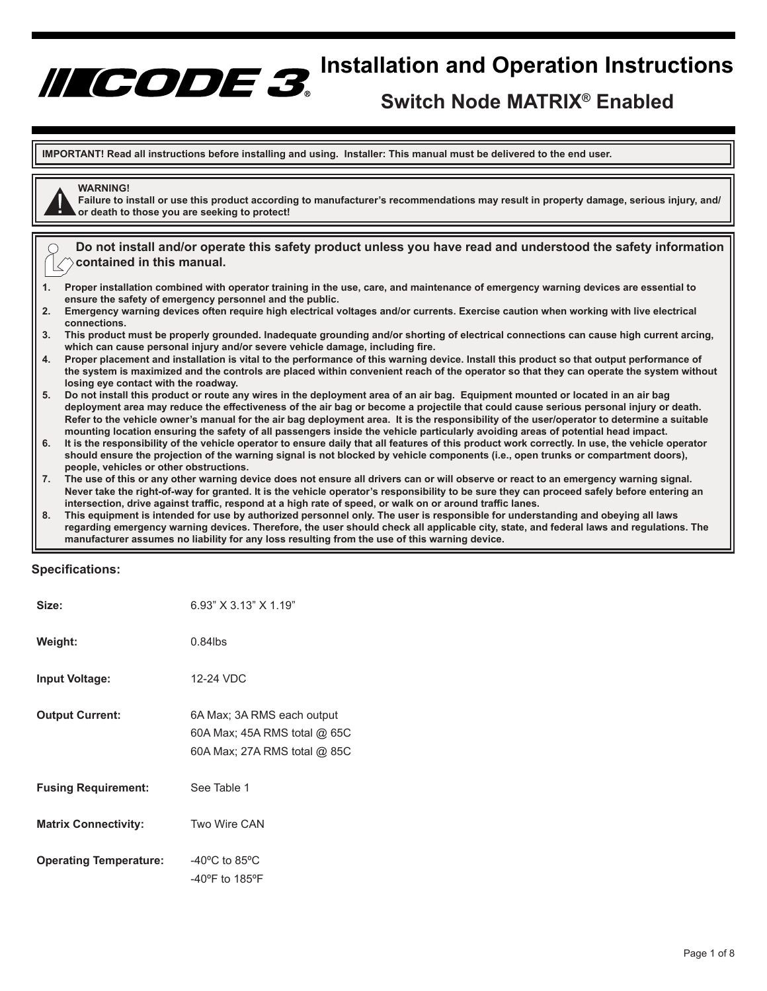# **INCODE 3** Installation and Operation Instructions

# **Switch Node MATRIX® Enabled**

**IMPORTANT! Read all instructions before installing and using. Installer: This manual must be delivered to the end user.**

# **WARNING!**

**Failure to install or use this product according to manufacturer's recommendations may result in property damage, serious injury, and/ or death to those you are seeking to protect!**

**Do not install and/or operate this safety product unless you have read and understood the safety information contained in this manual.**

- **1. Proper installation combined with operator training in the use, care, and maintenance of emergency warning devices are essential to ensure the safety of emergency personnel and the public.**
- **2. Emergency warning devices often require high electrical voltages and/or currents. Exercise caution when working with live electrical connections.**
- **3. This product must be properly grounded. Inadequate grounding and/or shorting of electrical connections can cause high current arcing, which can cause personal injury and/or severe vehicle damage, including fire.**
- **4. Proper placement and installation is vital to the performance of this warning device. Install this product so that output performance of the system is maximized and the controls are placed within convenient reach of the operator so that they can operate the system without losing eye contact with the roadway.**
- **5. Do not install this product or route any wires in the deployment area of an air bag. Equipment mounted or located in an air bag deployment area may reduce the effectiveness of the air bag or become a projectile that could cause serious personal injury or death. Refer to the vehicle owner's manual for the air bag deployment area. It is the responsibility of the user/operator to determine a suitable mounting location ensuring the safety of all passengers inside the vehicle particularly avoiding areas of potential head impact.**
- **6. It is the responsibility of the vehicle operator to ensure daily that all features of this product work correctly. In use, the vehicle operator should ensure the projection of the warning signal is not blocked by vehicle components (i.e., open trunks or compartment doors), people, vehicles or other obstructions.**
- **7. The use of this or any other warning device does not ensure all drivers can or will observe or react to an emergency warning signal. Never take the right-of-way for granted. It is the vehicle operator's responsibility to be sure they can proceed safely before entering an intersection, drive against traffic, respond at a high rate of speed, or walk on or around traffic lanes.**
- **8. This equipment is intended for use by authorized personnel only. The user is responsible for understanding and obeying all laws regarding emergency warning devices. Therefore, the user should check all applicable city, state, and federal laws and regulations. The manufacturer assumes no liability for any loss resulting from the use of this warning device.**

# **Specifications:**

| Size:                         | 6.93" X 3.13" X 1.19"                                                                      |
|-------------------------------|--------------------------------------------------------------------------------------------|
| Weight:                       | $0.84$ lbs                                                                                 |
| <b>Input Voltage:</b>         | 12-24 VDC                                                                                  |
| <b>Output Current:</b>        | 6A Max; 3A RMS each output<br>60A Max; 45A RMS total @ 65C<br>60A Max; 27A RMS total @ 85C |
| <b>Fusing Requirement:</b>    | See Table 1                                                                                |
| <b>Matrix Connectivity:</b>   | Two Wire CAN                                                                               |
| <b>Operating Temperature:</b> | $-40^{\circ}$ C to 85 $^{\circ}$ C<br>$-40^{\circ}$ F to 185 $^{\circ}$ F                  |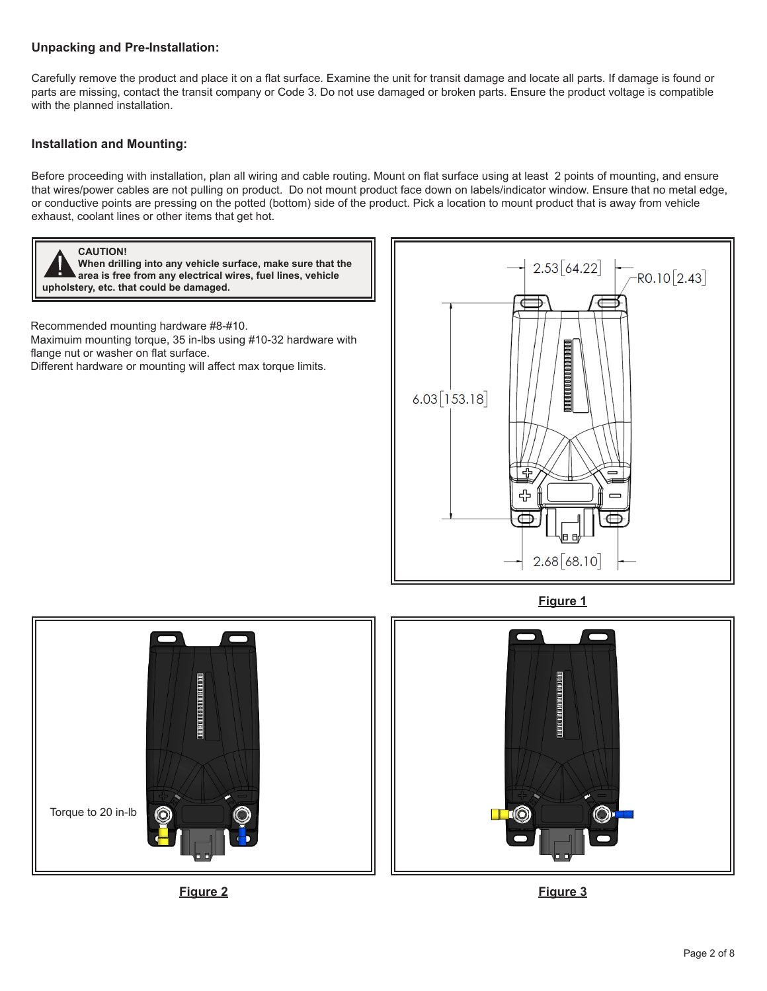# **Unpacking and Pre-Installation:**

Carefully remove the product and place it on a flat surface. Examine the unit for transit damage and locate all parts. If damage is found or parts are missing, contact the transit company or Code 3. Do not use damaged or broken parts. Ensure the product voltage is compatible with the planned installation.

# **Installation and Mounting:**

Before proceeding with installation, plan all wiring and cable routing. Mount on flat surface using at least 2 points of mounting, and ensure that wires/power cables are not pulling on product. Do not mount product face down on labels/indicator window. Ensure that no metal edge, or conductive points are pressing on the potted (bottom) side of the product. Pick a location to mount product that is away from vehicle exhaust, coolant lines or other items that get hot.



**Figure 2 Figure 3**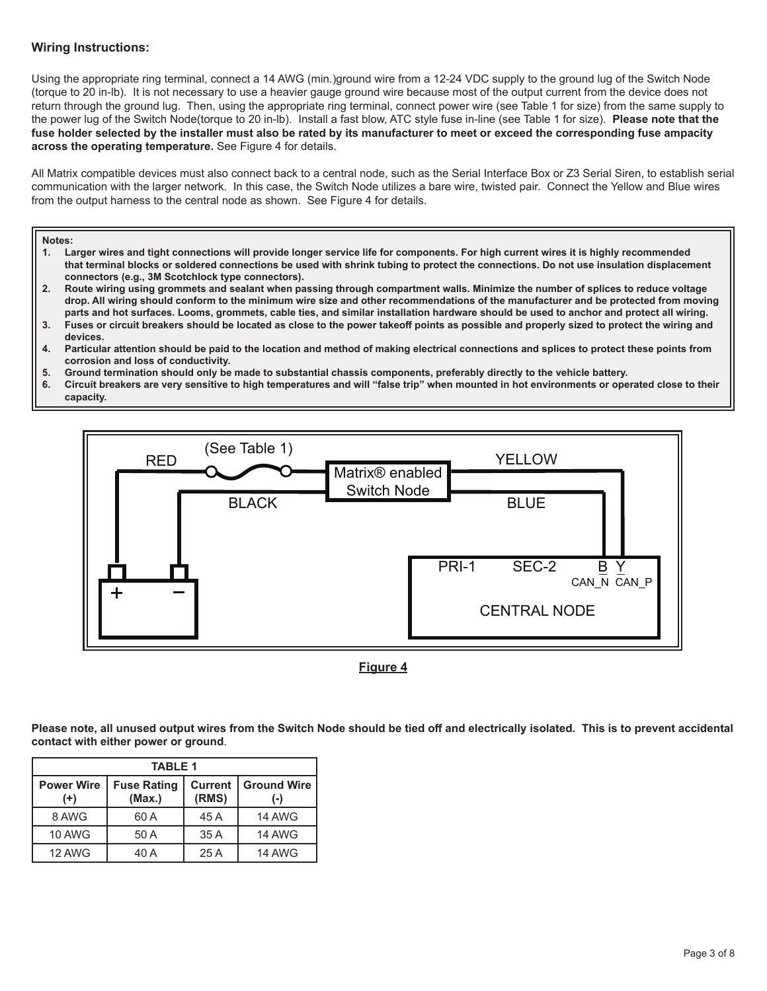# **Wiring Instructions:**

Using the appropriate ring terminal, connect a 14 AWG (min.)ground wire from a 12-24 VDC supply to the ground lug of the Switch Node (torque to 20 in-lb). It is not necessary to use a heavier gauge ground wire because most of the output current from the device does not return through the ground lug. Then, using the appropriate ring terminal, connect power wire (see Table 1 for size) from the same supply to the power lug of the Switch Node(torque to 20 in-lb). Install a fast blow, ATC style fuse in-line (see Table 1 for size). **Please note that the fuse holder selected by the installer must also be rated by its manufacturer to meet or exceed the corresponding fuse ampacity across the operating temperature.** See Figure 4 for details.

All Matrix compatible devices must also connect back to a central node, such as the Serial Interface Box or Z3 Serial Siren, to establish serial communication with the larger network. In this case, the Switch Node utilizes a bare wire, twisted pair. Connect the Yellow and Blue wires from the output harness to the central node as shown. See Figure 4 for details.

# **Notes:**

- **1. Larger wires and tight connections will provide longer service life for components. For high current wires it is highly recommended that terminal blocks or soldered connections be used with shrink tubing to protect the connections. Do not use insulation displacement connectors (e.g., 3M Scotchlock type connectors).**
- **2. Route wiring using grommets and sealant when passing through compartment walls. Minimize the number of splices to reduce voltage drop. All wiring should conform to the minimum wire size and other recommendations of the manufacturer and be protected from moving parts and hot surfaces. Looms, grommets, cable ties, and similar installation hardware should be used to anchor and protect all wiring.**
- **3. Fuses or circuit breakers should be located as close to the power takeoff points as possible and properly sized to protect the wiring and devices.**
- **4. Particular attention should be paid to the location and method of making electrical connections and splices to protect these points from corrosion and loss of conductivity.**
- **5. Ground termination should only be made to substantial chassis components, preferably directly to the vehicle battery.**
- **6. Circuit breakers are very sensitive to high temperatures and will "false trip" when mounted in hot environments or operated close to their capacity.**



**Figure 4**

**Please note, all unused output wires from the Switch Node should be tied off and electrically isolated. This is to prevent accidental contact with either power or ground**.

| <b>TABLE 1</b>                |                              |                         |                             |
|-------------------------------|------------------------------|-------------------------|-----------------------------|
| <b>Power Wire</b><br>$^{(+)}$ | <b>Fuse Rating</b><br>(Max.) | <b>Current</b><br>(RMS) | <b>Ground Wire</b><br>$(-)$ |
| 8 AWG                         | 60 A                         | 45 A                    | <b>14 AWG</b>               |
| <b>10 AWG</b>                 | 50 A                         | 35 A                    | <b>14 AWG</b>               |
| 12 AWG                        | 40 A                         | 25 A                    | <b>14 AWG</b>               |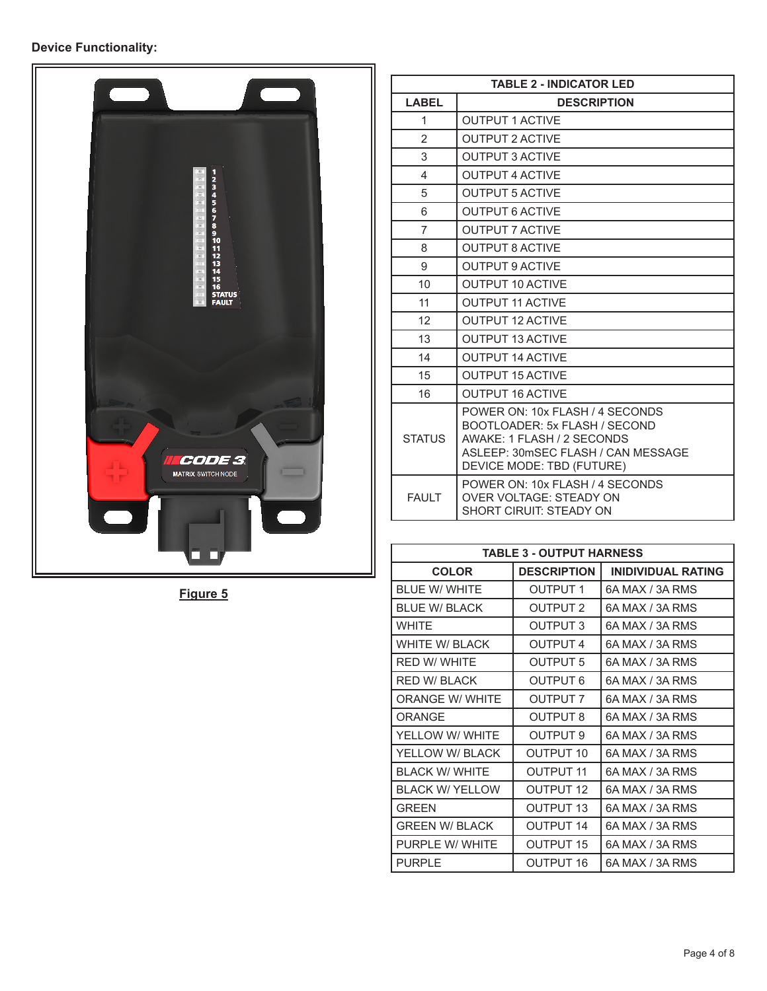# **Device Functionality:**



**Figure 5**

| <b>TABLE 2 - INDICATOR LED</b> |                                                                                                                                                                   |  |
|--------------------------------|-------------------------------------------------------------------------------------------------------------------------------------------------------------------|--|
| <b>LABEL</b>                   | <b>DESCRIPTION</b>                                                                                                                                                |  |
| 1                              | <b>OUTPUT 1 ACTIVE</b>                                                                                                                                            |  |
| $\mathfrak{p}$                 | <b>OUTPUT 2 ACTIVE</b>                                                                                                                                            |  |
| 3                              | <b>OUTPUT 3 ACTIVE</b>                                                                                                                                            |  |
| 4                              | <b>OUTPUT 4 ACTIVE</b>                                                                                                                                            |  |
| 5                              | <b>OUTPUT 5 ACTIVE</b>                                                                                                                                            |  |
| 6                              | <b>OUTPUT 6 ACTIVE</b>                                                                                                                                            |  |
| $\overline{7}$                 | <b>OUTPUT 7 ACTIVE</b>                                                                                                                                            |  |
| 8                              | <b>OUTPUT 8 ACTIVE</b>                                                                                                                                            |  |
| 9                              | <b>OUTPUT 9 ACTIVE</b>                                                                                                                                            |  |
| 10                             | <b>OUTPUT 10 ACTIVE</b>                                                                                                                                           |  |
| 11                             | <b>OUTPUT 11 ACTIVE</b>                                                                                                                                           |  |
| 12                             | <b>OUTPUT 12 ACTIVE</b>                                                                                                                                           |  |
| 13                             | <b>OUTPUT 13 ACTIVE</b>                                                                                                                                           |  |
| 14                             | <b>OUTPUT 14 ACTIVE</b>                                                                                                                                           |  |
| 15                             | <b>OUTPUT 15 ACTIVE</b>                                                                                                                                           |  |
| 16                             | <b>OUTPUT 16 ACTIVE</b>                                                                                                                                           |  |
| <b>STATUS</b>                  | POWER ON: 10x FLASH / 4 SECONDS<br>BOOTLOADER: 5x FLASH / SECOND<br>AWAKE: 1 FLASH / 2 SECONDS<br>ASLEEP: 30mSEC FLASH / CAN MESSAGE<br>DEVICE MODE: TBD (FUTURE) |  |
| <b>FAULT</b>                   | POWER ON: 10x FLASH / 4 SECONDS<br><b>OVER VOLTAGE: STEADY ON</b><br>SHORT CIRUIT: STEADY ON                                                                      |  |

| <b>TABLE 3 - OUTPUT HARNESS</b> |                     |                           |  |
|---------------------------------|---------------------|---------------------------|--|
| <b>COLOR</b>                    | <b>DESCRIPTION</b>  | <b>INIDIVIDUAL RATING</b> |  |
| BLUE W/WHITE                    | <b>OUTPUT 1</b>     | 6A MAX / 3A RMS           |  |
| BLUE W/ BLACK                   | OUTPUT <sub>2</sub> | 6A MAX / 3A RMS           |  |
| <b>WHITE</b>                    | <b>OUTPUT 3</b>     | 6A MAX / 3A RMS           |  |
| <b>WHITE W/ BLACK</b>           | <b>OUTPUT 4</b>     | 6A MAX / 3A RMS           |  |
| <b>RED W/ WHITE</b>             | <b>OUTPUT 5</b>     | 6A MAX / 3A RMS           |  |
| <b>RED W/ BLACK</b>             | OUTPUT 6            | 6A MAX / 3A RMS           |  |
| <b>ORANGE W/ WHITE</b>          | <b>OUTPUT 7</b>     | 6A MAX / 3A RMS           |  |
| ORANGE                          | OUTPUT 8            | 6A MAX / 3A RMS           |  |
| YELLOW W/ WHITE                 | <b>OUTPUT 9</b>     | 6A MAX / 3A RMS           |  |
| YELLOW W/ BLACK                 | <b>OUTPUT 10</b>    | 6A MAX / 3A RMS           |  |
| BI ACK W/ WHITE                 | OUTPUT 11           | 6A MAX / 3A RMS           |  |
| <b>BLACK W/ YELLOW</b>          | OUTPUT 12           | 6A MAX / 3A RMS           |  |
| <b>GRFFN</b>                    | <b>OUTPUT 13</b>    | 6A MAX / 3A RMS           |  |
| <b>GREEN W/ BLACK</b>           | <b>OUTPUT 14</b>    | 6A MAX / 3A RMS           |  |
| PURPLE W/ WHITE                 | OUTPUT 15           | 6A MAX / 3A RMS           |  |
| PURPLE                          | <b>OUTPUT 16</b>    | 6A MAX / 3A RMS           |  |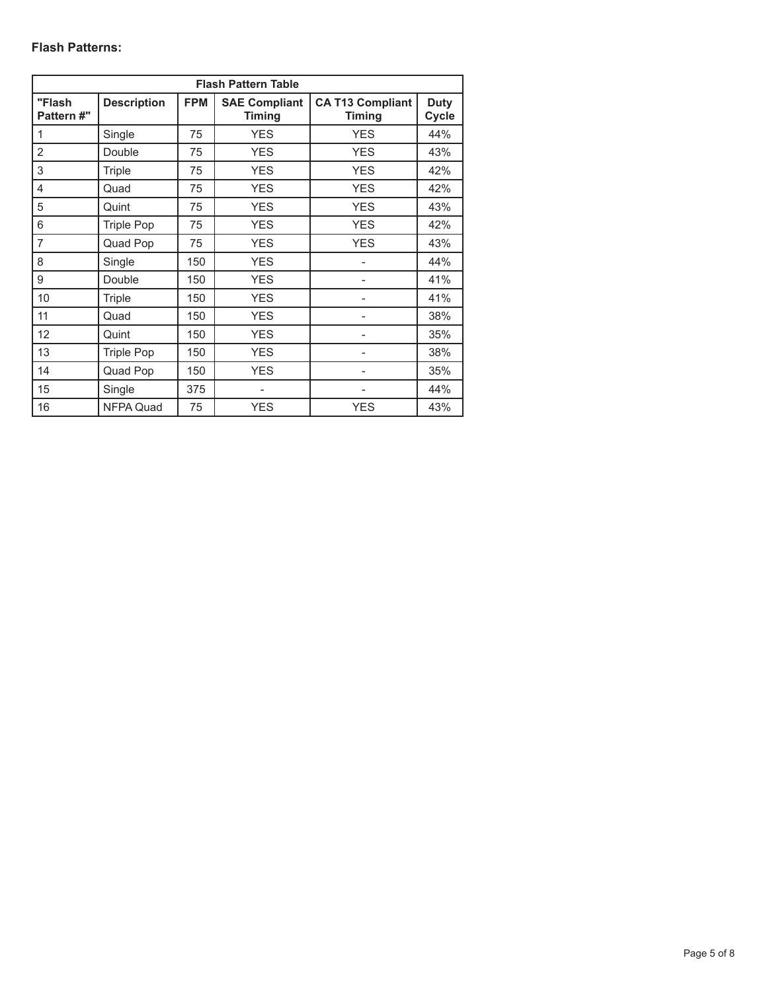# **Flash Patterns:**

| <b>Flash Pattern Table</b> |                    |            |                                       |                                          |                      |
|----------------------------|--------------------|------------|---------------------------------------|------------------------------------------|----------------------|
| "Flash<br>Pattern #"       | <b>Description</b> | <b>FPM</b> | <b>SAE Compliant</b><br><b>Timing</b> | <b>CA T13 Compliant</b><br><b>Timing</b> | <b>Duty</b><br>Cycle |
| 1                          | Single             | 75         | <b>YES</b>                            | <b>YES</b>                               | 44%                  |
| $\overline{2}$             | Double             | 75         | <b>YES</b>                            | <b>YES</b>                               | 43%                  |
| 3                          | Triple             | 75         | <b>YES</b>                            | <b>YES</b>                               | 42%                  |
| 4                          | Quad               | 75         | <b>YES</b>                            | <b>YES</b>                               | 42%                  |
| 5                          | Quint              | 75         | <b>YES</b>                            | <b>YES</b>                               | 43%                  |
| 6                          | <b>Triple Pop</b>  | 75         | <b>YES</b>                            | <b>YES</b>                               | 42%                  |
| $\overline{7}$             | Quad Pop           | 75         | <b>YES</b>                            | <b>YES</b>                               | 43%                  |
| 8                          | Single             | 150        | <b>YES</b>                            |                                          | 44%                  |
| 9                          | Double             | 150        | <b>YES</b>                            |                                          | 41%                  |
| 10                         | Triple             | 150        | <b>YES</b>                            |                                          | 41%                  |
| 11                         | Quad               | 150        | <b>YES</b>                            |                                          | 38%                  |
| 12                         | Quint              | 150        | <b>YES</b>                            |                                          | 35%                  |
| 13                         | <b>Triple Pop</b>  | 150        | <b>YES</b>                            |                                          | 38%                  |
| 14                         | Quad Pop           | 150        | <b>YES</b>                            |                                          | 35%                  |
| 15                         | Single             | 375        |                                       |                                          | 44%                  |
| 16                         | <b>NFPA Quad</b>   | 75         | <b>YES</b>                            | <b>YES</b>                               | 43%                  |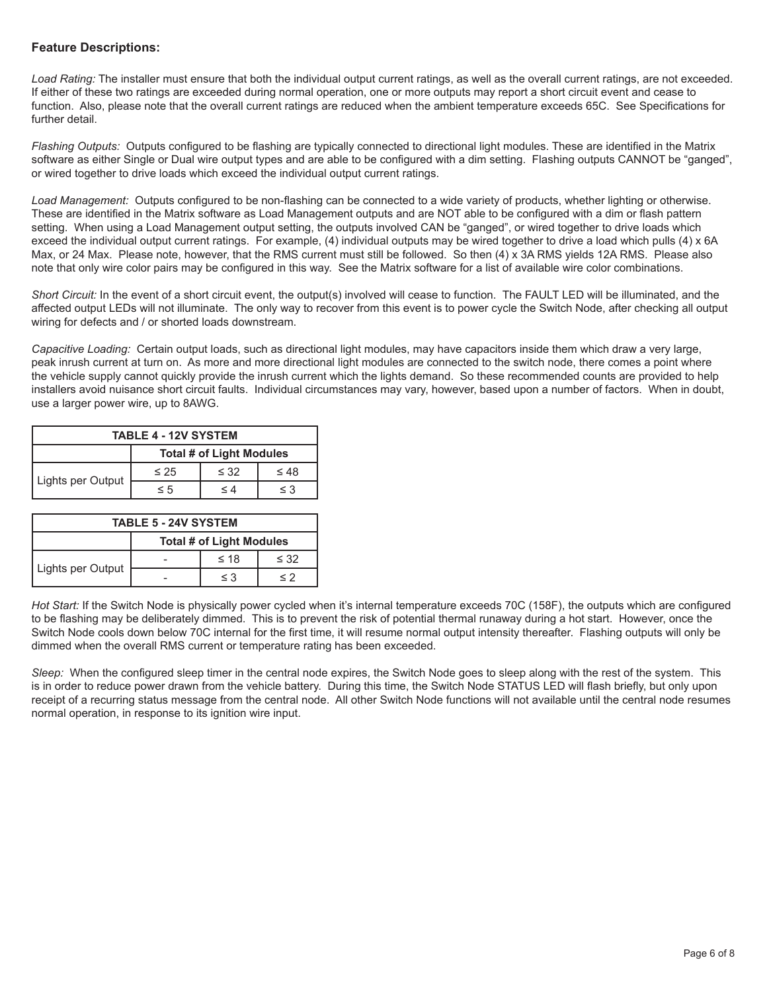# **Feature Descriptions:**

Load Rating: The installer must ensure that both the individual output current ratings, as well as the overall current ratings, are not exceeded. If either of these two ratings are exceeded during normal operation, one or more outputs may report a short circuit event and cease to function. Also, please note that the overall current ratings are reduced when the ambient temperature exceeds 65C. See Specifications for further detail.

*Flashing Outputs:* Outputs configured to be flashing are typically connected to directional light modules. These are identified in the Matrix software as either Single or Dual wire output types and are able to be configured with a dim setting. Flashing outputs CANNOT be "ganged", or wired together to drive loads which exceed the individual output current ratings.

*Load Management:* Outputs configured to be non-flashing can be connected to a wide variety of products, whether lighting or otherwise. These are identified in the Matrix software as Load Management outputs and are NOT able to be configured with a dim or flash pattern setting. When using a Load Management output setting, the outputs involved CAN be "ganged", or wired together to drive loads which exceed the individual output current ratings. For example, (4) individual outputs may be wired together to drive a load which pulls (4) x 6A Max, or 24 Max. Please note, however, that the RMS current must still be followed. So then (4) x 3A RMS yields 12A RMS. Please also note that only wire color pairs may be configured in this way. See the Matrix software for a list of available wire color combinations.

*Short Circuit:* In the event of a short circuit event, the output(s) involved will cease to function. The FAULT LED will be illuminated, and the affected output LEDs will not illuminate. The only way to recover from this event is to power cycle the Switch Node, after checking all output wiring for defects and / or shorted loads downstream.

*Capacitive Loading:* Certain output loads, such as directional light modules, may have capacitors inside them which draw a very large, peak inrush current at turn on. As more and more directional light modules are connected to the switch node, there comes a point where the vehicle supply cannot quickly provide the inrush current which the lights demand. So these recommended counts are provided to help installers avoid nuisance short circuit faults. Individual circumstances may vary, however, based upon a number of factors. When in doubt, use a larger power wire, up to 8AWG.

| <b>TABLE 4 - 12V SYSTEM</b> |                                 |           |           |
|-----------------------------|---------------------------------|-----------|-----------|
|                             | <b>Total # of Light Modules</b> |           |           |
| Lights per Output           | $\leq 25$                       | $\leq$ 32 | $\leq 48$ |
|                             | $\leq 5$                        | < 4       | $\leq$ 3  |

| <b>TABLE 5 - 24V SYSTEM</b> |                          |           |           |
|-----------------------------|--------------------------|-----------|-----------|
|                             | Total # of Light Modules |           |           |
| Lights per Output           |                          | $\leq 18$ | $\leq$ 32 |
|                             |                          | $\leq$ 3  | くク        |

*Hot Start:* If the Switch Node is physically power cycled when it's internal temperature exceeds 70C (158F), the outputs which are configured to be flashing may be deliberately dimmed. This is to prevent the risk of potential thermal runaway during a hot start. However, once the Switch Node cools down below 70C internal for the first time, it will resume normal output intensity thereafter. Flashing outputs will only be dimmed when the overall RMS current or temperature rating has been exceeded.

*Sleep:* When the configured sleep timer in the central node expires, the Switch Node goes to sleep along with the rest of the system. This is in order to reduce power drawn from the vehicle battery. During this time, the Switch Node STATUS LED will flash briefly, but only upon receipt of a recurring status message from the central node. All other Switch Node functions will not available until the central node resumes normal operation, in response to its ignition wire input.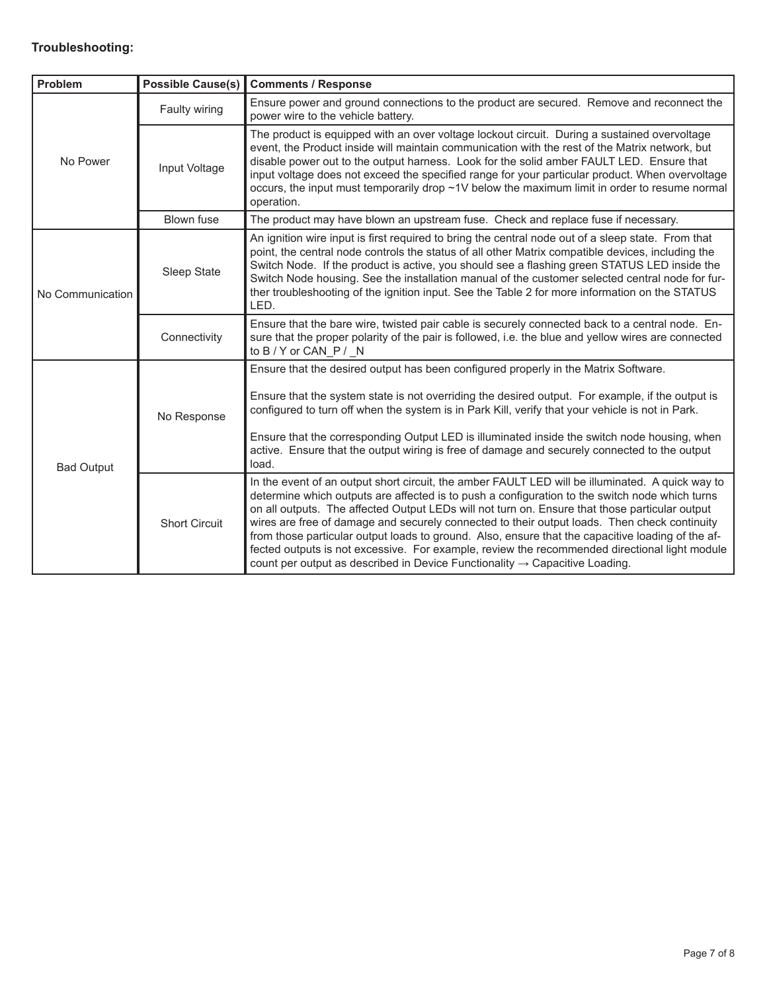# **Troubleshooting:**

| Problem           | <b>Possible Cause(s)</b> | <b>Comments / Response</b>                                                                                                                                                                                                                                                                                                                                                                                                                                                                                                                                                                                                                                                                            |  |  |
|-------------------|--------------------------|-------------------------------------------------------------------------------------------------------------------------------------------------------------------------------------------------------------------------------------------------------------------------------------------------------------------------------------------------------------------------------------------------------------------------------------------------------------------------------------------------------------------------------------------------------------------------------------------------------------------------------------------------------------------------------------------------------|--|--|
|                   | Faulty wiring            | Ensure power and ground connections to the product are secured. Remove and reconnect the<br>power wire to the vehicle battery.                                                                                                                                                                                                                                                                                                                                                                                                                                                                                                                                                                        |  |  |
| No Power          | Input Voltage            | The product is equipped with an over voltage lockout circuit. During a sustained overvoltage<br>event, the Product inside will maintain communication with the rest of the Matrix network, but<br>disable power out to the output harness. Look for the solid amber FAULT LED. Ensure that<br>input voltage does not exceed the specified range for your particular product. When overvoltage<br>occurs, the input must temporarily drop ~1V below the maximum limit in order to resume normal<br>operation.                                                                                                                                                                                          |  |  |
|                   | <b>Blown fuse</b>        | The product may have blown an upstream fuse. Check and replace fuse if necessary.                                                                                                                                                                                                                                                                                                                                                                                                                                                                                                                                                                                                                     |  |  |
| No Communication  | Sleep State              | An ignition wire input is first required to bring the central node out of a sleep state. From that<br>point, the central node controls the status of all other Matrix compatible devices, including the<br>Switch Node. If the product is active, you should see a flashing green STATUS LED inside the<br>Switch Node housing. See the installation manual of the customer selected central node for fur-<br>ther troubleshooting of the ignition input. See the Table 2 for more information on the STATUS<br>LED.                                                                                                                                                                                  |  |  |
|                   | Connectivity             | Ensure that the bare wire, twisted pair cable is securely connected back to a central node. En-<br>sure that the proper polarity of the pair is followed, i.e. the blue and yellow wires are connected<br>to B / Y or CAN P / N                                                                                                                                                                                                                                                                                                                                                                                                                                                                       |  |  |
| <b>Bad Output</b> | No Response              | Ensure that the desired output has been configured properly in the Matrix Software.<br>Ensure that the system state is not overriding the desired output. For example, if the output is<br>configured to turn off when the system is in Park Kill, verify that your vehicle is not in Park.<br>Ensure that the corresponding Output LED is illuminated inside the switch node housing, when<br>active. Ensure that the output wiring is free of damage and securely connected to the output<br>load.                                                                                                                                                                                                  |  |  |
|                   | <b>Short Circuit</b>     | In the event of an output short circuit, the amber FAULT LED will be illuminated. A quick way to<br>determine which outputs are affected is to push a configuration to the switch node which turns<br>on all outputs. The affected Output LEDs will not turn on. Ensure that those particular output<br>wires are free of damage and securely connected to their output loads. Then check continuity<br>from those particular output loads to ground. Also, ensure that the capacitive loading of the af-<br>fected outputs is not excessive. For example, review the recommended directional light module<br>count per output as described in Device Functionality $\rightarrow$ Capacitive Loading. |  |  |